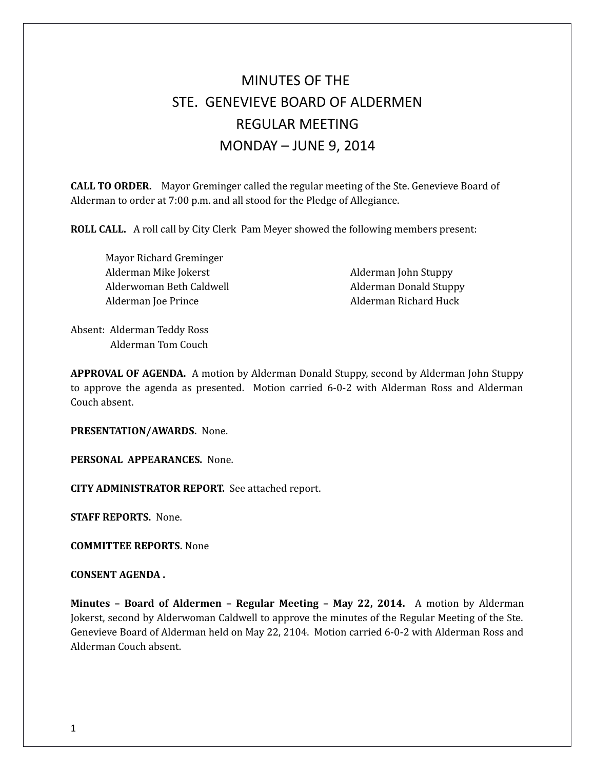# MINUTES OF THE STE. GENEVIEVE BOARD OF ALDERMEN REGULAR MEETING MONDAY – JUNE 9, 2014

**CALL TO ORDER.** Mayor Greminger called the regular meeting of the Ste. Genevieve Board of Alderman to order at 7:00 p.m. and all stood for the Pledge of Allegiance.

**ROLL CALL.** A roll call by City Clerk Pam Meyer showed the following members present:

Mayor Richard Greminger Alderman Mike Jokerst **Alderman John Stuppy** Alderman John Stuppy Alderwoman Beth Caldwell **Alderman Donald Stuppy** Alderman Joe Prince Alderman Richard Huck

Absent: Alderman Teddy Ross Alderman Tom Couch

**APPROVAL OF AGENDA.** A motion by Alderman Donald Stuppy, second by Alderman John Stuppy to approve the agenda as presented. Motion carried 6-0-2 with Alderman Ross and Alderman Couch absent.

**PRESENTATION/AWARDS.** None.

**PERSONAL APPEARANCES.** None.

**CITY ADMINISTRATOR REPORT.** See attached report.

**STAFF REPORTS.** None.

**COMMITTEE REPORTS.** None

**CONSENT AGENDA .** 

**Minutes – Board of Aldermen – Regular Meeting – May 22, 2014.** A motion by Alderman Jokerst, second by Alderwoman Caldwell to approve the minutes of the Regular Meeting of the Ste. Genevieve Board of Alderman held on May 22, 2104. Motion carried 6-0-2 with Alderman Ross and Alderman Couch absent.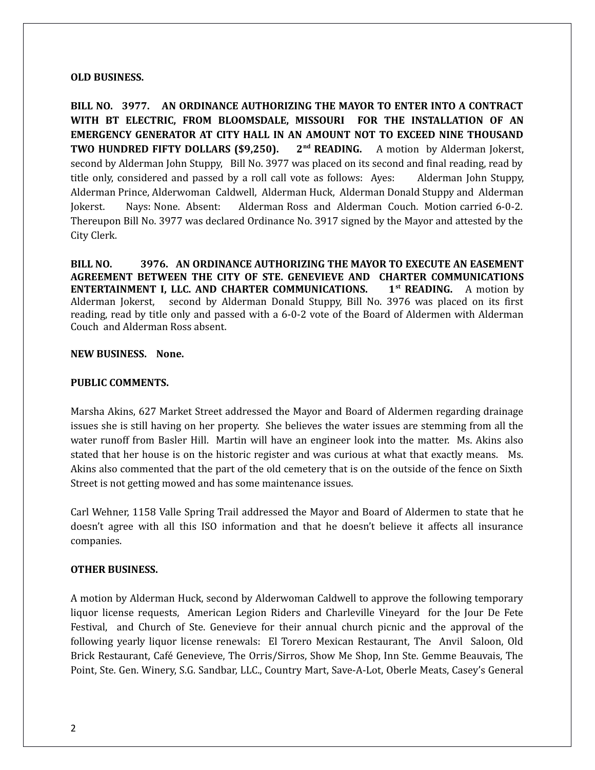#### **OLD BUSINESS.**

**BILL NO. 3977. AN ORDINANCE AUTHORIZING THE MAYOR TO ENTER INTO A CONTRACT WITH BT ELECTRIC, FROM BLOOMSDALE, MISSOURI FOR THE INSTALLATION OF AN EMERGENCY GENERATOR AT CITY HALL IN AN AMOUNT NOT TO EXCEED NINE THOUSAND TWO HUNDRED FIFTY DOLLARS (\$9,250). 2nd READING.** A motion by Alderman Jokerst, second by Alderman John Stuppy, Bill No. 3977 was placed on its second and final reading, read by title only, considered and passed by a roll call vote as follows: Ayes: Alderman John Stuppy, Alderman Prince, Alderwoman Caldwell, Alderman Huck, Alderman Donald Stuppy and Alderman Jokerst. Nays: None. Absent: Alderman Ross and Alderman Couch. Motion carried 6-0-2. Thereupon Bill No. 3977 was declared Ordinance No. 3917 signed by the Mayor and attested by the City Clerk.

**BILL NO. 3976. AN ORDINANCE AUTHORIZING THE MAYOR TO EXECUTE AN EASEMENT AGREEMENT BETWEEN THE CITY OF STE. GENEVIEVE AND CHARTER COMMUNICATIONS ENTERTAINMENT I, LLC. AND CHARTER COMMUNICATIONS. 1st READING.** A motion by Alderman Jokerst, second by Alderman Donald Stuppy, Bill No. 3976 was placed on its first reading, read by title only and passed with a 6-0-2 vote of the Board of Aldermen with Alderman Couch and Alderman Ross absent.

## **NEW BUSINESS. None.**

### **PUBLIC COMMENTS.**

Marsha Akins, 627 Market Street addressed the Mayor and Board of Aldermen regarding drainage issues she is still having on her property. She believes the water issues are stemming from all the water runoff from Basler Hill. Martin will have an engineer look into the matter. Ms. Akins also stated that her house is on the historic register and was curious at what that exactly means. Ms. Akins also commented that the part of the old cemetery that is on the outside of the fence on Sixth Street is not getting mowed and has some maintenance issues.

Carl Wehner, 1158 Valle Spring Trail addressed the Mayor and Board of Aldermen to state that he doesn't agree with all this ISO information and that he doesn't believe it affects all insurance companies.

#### **OTHER BUSINESS.**

A motion by Alderman Huck, second by Alderwoman Caldwell to approve the following temporary liquor license requests, American Legion Riders and Charleville Vineyard for the Jour De Fete Festival, and Church of Ste. Genevieve for their annual church picnic and the approval of the following yearly liquor license renewals: El Torero Mexican Restaurant, The Anvil Saloon, Old Brick Restaurant, Café Genevieve, The Orris/Sirros, Show Me Shop, Inn Ste. Gemme Beauvais, The Point, Ste. Gen. Winery, S.G. Sandbar, LLC., Country Mart, Save-A-Lot, Oberle Meats, Casey's General